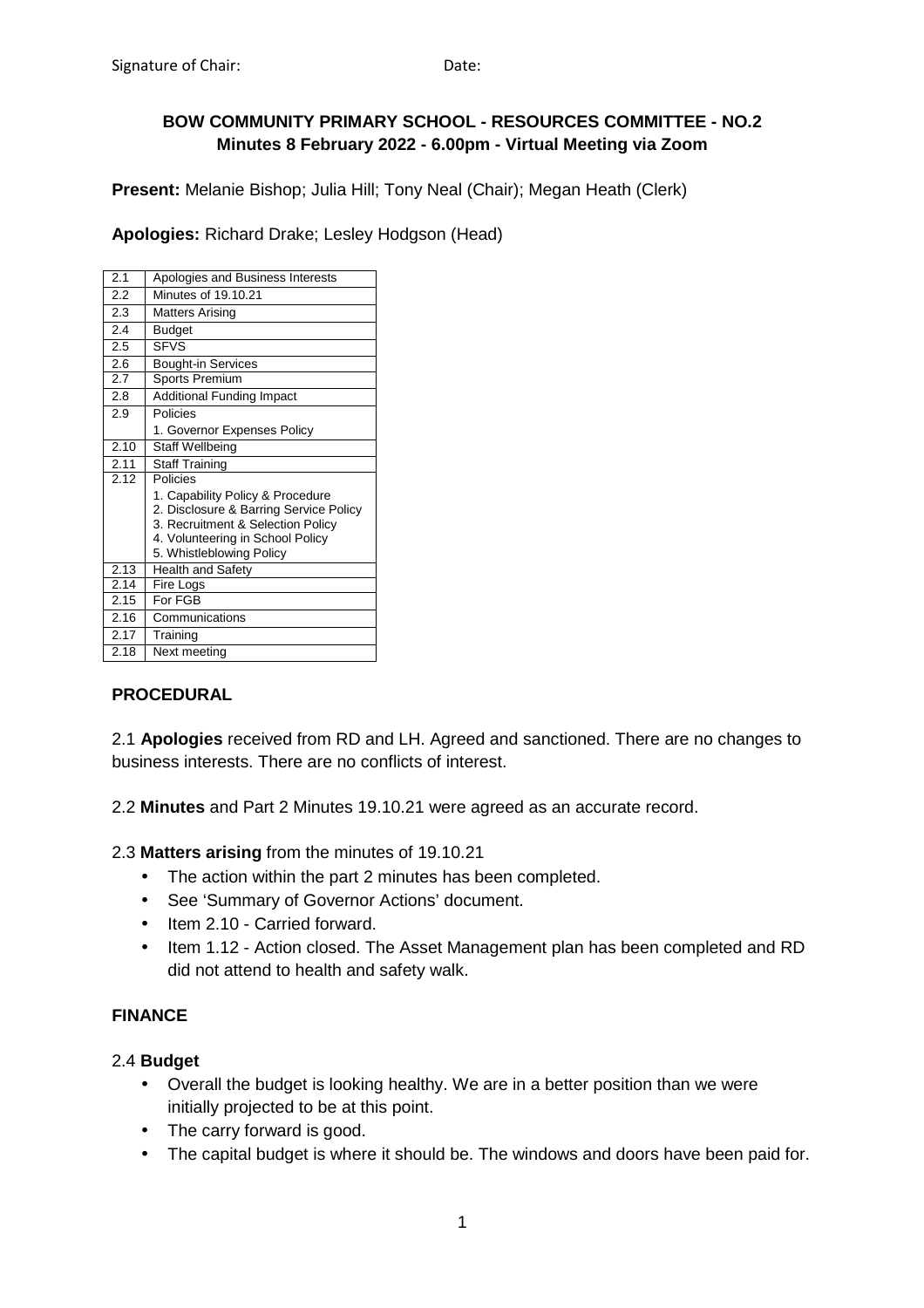### **BOW COMMUNITY PRIMARY SCHOOL - RESOURCES COMMITTEE - NO.2 Minutes 8 February 2022 - 6.00pm - Virtual Meeting via Zoom**

**Present:** Melanie Bishop; Julia Hill; Tony Neal (Chair); Megan Heath (Clerk)

**Apologies:** Richard Drake; Lesley Hodgson (Head)

| 2.1  | Apologies and Business Interests                                           |
|------|----------------------------------------------------------------------------|
| 2.2  | Minutes of 19.10.21                                                        |
| 2.3  | <b>Matters Arising</b>                                                     |
| 2.4  | <b>Budget</b>                                                              |
| 2.5  | <b>SFVS</b>                                                                |
| 2.6  | <b>Bought-in Services</b>                                                  |
| 2.7  | Sports Premium                                                             |
| 2.8  | <b>Additional Funding Impact</b>                                           |
| 2.9  | Policies                                                                   |
|      | 1. Governor Expenses Policy                                                |
| 2.10 | <b>Staff Wellbeing</b>                                                     |
| 2.11 | <b>Staff Training</b>                                                      |
| 2.12 | Policies                                                                   |
|      | 1. Capability Policy & Procedure<br>2. Disclosure & Barring Service Policy |
|      | 3. Recruitment & Selection Policy                                          |
|      | 4. Volunteering in School Policy                                           |
|      | 5. Whistleblowing Policy                                                   |
| 2.13 | <b>Health and Safety</b>                                                   |
| 2.14 | Fire Logs                                                                  |
| 2.15 | For FGB                                                                    |
| 2.16 | Communications                                                             |
| 2.17 | Training                                                                   |
| 2.18 | Next meeting                                                               |

## **PROCEDURAL**

2.1 **Apologies** received from RD and LH. Agreed and sanctioned. There are no changes to business interests. There are no conflicts of interest.

2.2 **Minutes** and Part 2 Minutes 19.10.21 were agreed as an accurate record.

2.3 **Matters arising** from the minutes of 19.10.21

- The action within the part 2 minutes has been completed.
- See 'Summary of Governor Actions' document.
- Item 2.10 Carried forward.
- Item 1.12 Action closed. The Asset Management plan has been completed and RD did not attend to health and safety walk.

# **FINANCE**

#### 2.4 **Budget**

- Overall the budget is looking healthy. We are in a better position than we were initially projected to be at this point.
- The carry forward is good.
- The capital budget is where it should be. The windows and doors have been paid for.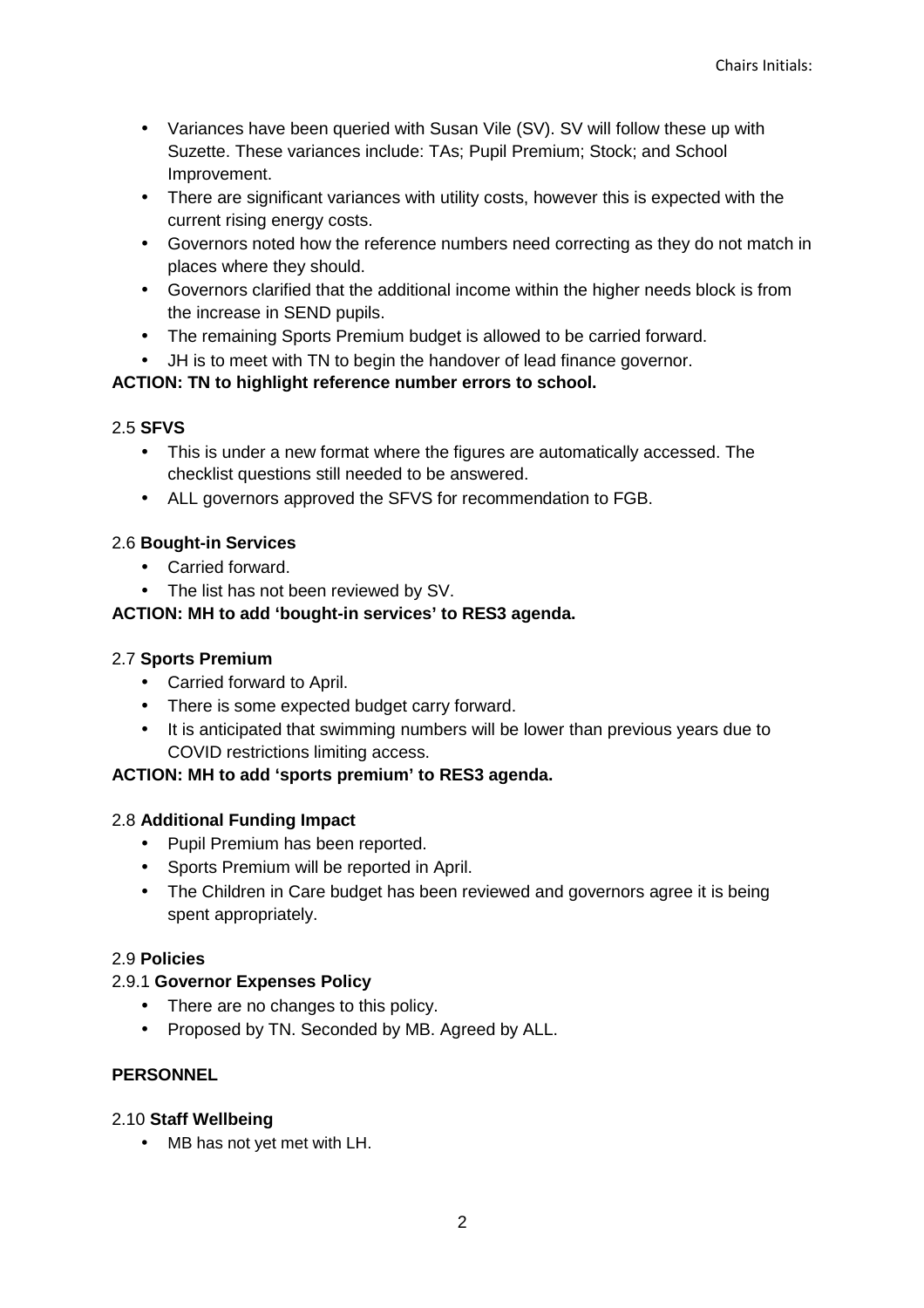- Variances have been queried with Susan Vile (SV). SV will follow these up with Suzette. These variances include: TAs; Pupil Premium; Stock; and School Improvement.
- There are significant variances with utility costs, however this is expected with the current rising energy costs.
- Governors noted how the reference numbers need correcting as they do not match in places where they should.
- Governors clarified that the additional income within the higher needs block is from the increase in SEND pupils.
- The remaining Sports Premium budget is allowed to be carried forward.
- JH is to meet with TN to begin the handover of lead finance governor.

# **ACTION: TN to highlight reference number errors to school.**

## 2.5 **SFVS**

- This is under a new format where the figures are automatically accessed. The checklist questions still needed to be answered.
- ALL governors approved the SFVS for recommendation to FGB.

# 2.6 **Bought-in Services**

- Carried forward.
- The list has not been reviewed by SV.

# **ACTION: MH to add 'bought-in services' to RES3 agenda.**

## 2.7 **Sports Premium**

- Carried forward to April.
- There is some expected budget carry forward.
- It is anticipated that swimming numbers will be lower than previous years due to COVID restrictions limiting access.

## **ACTION: MH to add 'sports premium' to RES3 agenda.**

## 2.8 **Additional Funding Impact**

- Pupil Premium has been reported.
- Sports Premium will be reported in April.
- The Children in Care budget has been reviewed and governors agree it is being spent appropriately.

## 2.9 **Policies**

## 2.9.1 **Governor Expenses Policy**

- There are no changes to this policy.
- Proposed by TN. Seconded by MB. Agreed by ALL.

## **PERSONNEL**

## 2.10 **Staff Wellbeing**

• MB has not yet met with LH.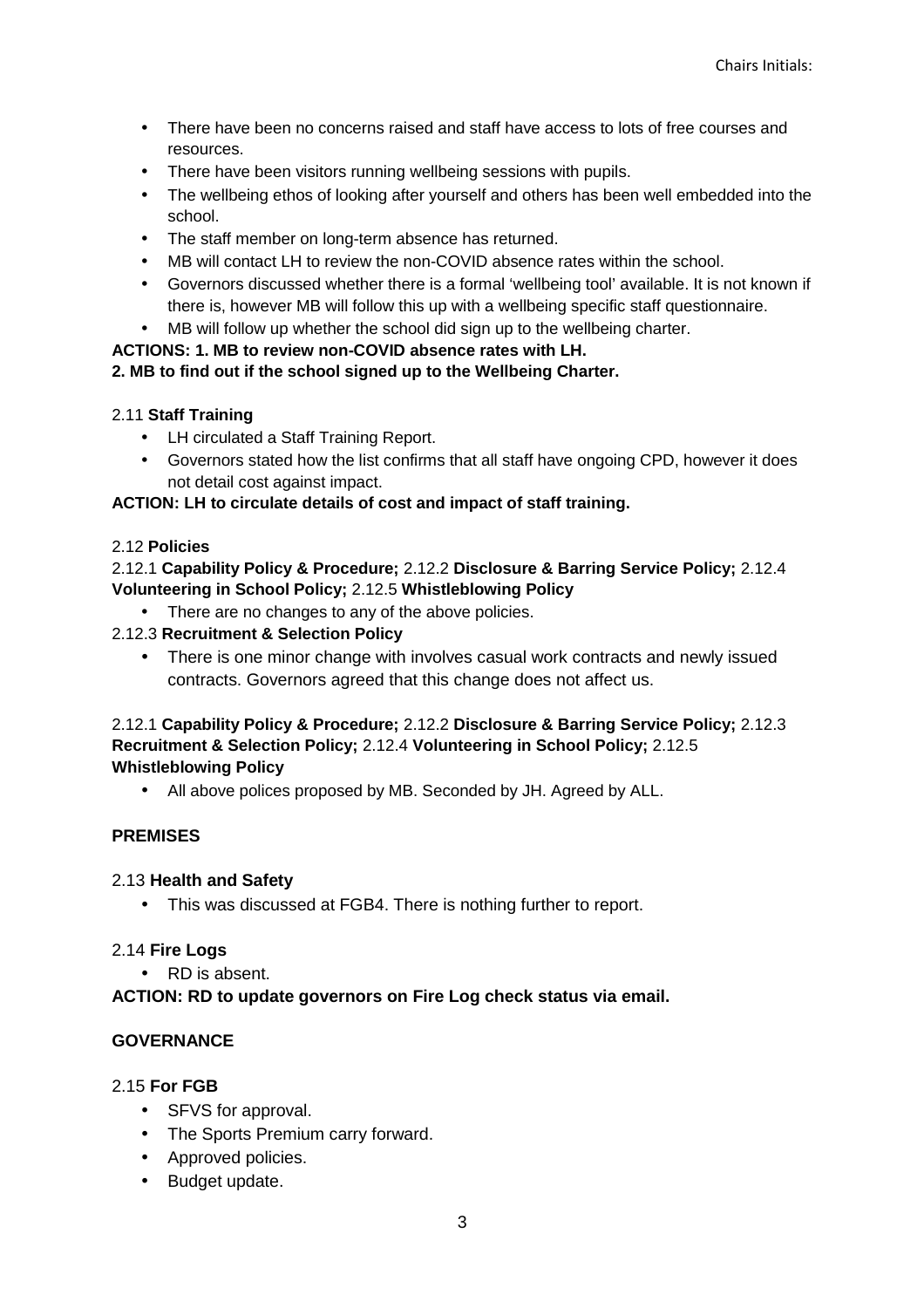- There have been no concerns raised and staff have access to lots of free courses and resources.
- There have been visitors running wellbeing sessions with pupils.
- The wellbeing ethos of looking after yourself and others has been well embedded into the school.
- The staff member on long-term absence has returned.
- MB will contact LH to review the non-COVID absence rates within the school.
- Governors discussed whether there is a formal 'wellbeing tool' available. It is not known if there is, however MB will follow this up with a wellbeing specific staff questionnaire.
- MB will follow up whether the school did sign up to the wellbeing charter.

### **ACTIONS: 1. MB to review non-COVID absence rates with LH.**

### **2. MB to find out if the school signed up to the Wellbeing Charter.**

### 2.11 **Staff Training**

- LH circulated a Staff Training Report.
- Governors stated how the list confirms that all staff have ongoing CPD, however it does not detail cost against impact.

### **ACTION: LH to circulate details of cost and impact of staff training.**

#### 2.12 **Policies**

### 2.12.1 **Capability Policy & Procedure;** 2.12.2 **Disclosure & Barring Service Policy;** 2.12.4 **Volunteering in School Policy;** 2.12.5 **Whistleblowing Policy**

• There are no changes to any of the above policies.

### 2.12.3 **Recruitment & Selection Policy**

• There is one minor change with involves casual work contracts and newly issued contracts. Governors agreed that this change does not affect us.

#### 2.12.1 **Capability Policy & Procedure;** 2.12.2 **Disclosure & Barring Service Policy;** 2.12.3 **Recruitment & Selection Policy;** 2.12.4 **Volunteering in School Policy;** 2.12.5 **Whistleblowing Policy**

• All above polices proposed by MB. Seconded by JH. Agreed by ALL.

## **PREMISES**

#### 2.13 **Health and Safety**

• This was discussed at FGB4. There is nothing further to report.

#### 2.14 **Fire Logs**

• RD is absent.

#### **ACTION: RD to update governors on Fire Log check status via email.**

## **GOVERNANCE**

#### 2.15 **For FGB**

- SFVS for approval.
- The Sports Premium carry forward.
- Approved policies.
- Budget update.